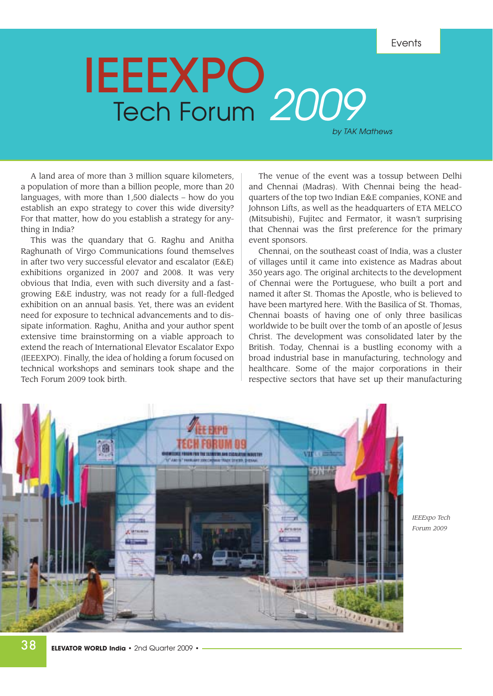Events

# IEEEXPO Tech Forum 2009

by TAK Mathews

A land area of more than 3 million square kilometers, a population of more than a billion people, more than 20 languages, with more than 1,500 dialects – how do you establish an expo strategy to cover this wide diversity? For that matter, how do you establish a strategy for anything in India?

This was the quandary that G. Raghu and Anitha Raghunath of Virgo Communications found themselves in after two very successful elevator and escalator (E&E) exhibitions organized in 2007 and 2008. It was very obvious that India, even with such diversity and a fastgrowing E&E industry, was not ready for a full-fledged exhibition on an annual basis. Yet, there was an evident need for exposure to technical advancements and to dissipate information. Raghu, Anitha and your author spent extensive time brainstorming on a viable approach to extend the reach of International Elevator Escalator Expo (IEEEXPO). Finally, the idea of holding a forum focused on technical workshops and seminars took shape and the Tech Forum 2009 took birth.

The venue of the event was a tossup between Delhi and Chennai (Madras). With Chennai being the headquarters of the top two Indian E&E companies, KONE and Johnson Lifts, as well as the headquarters of ETA MELCO (Mitsubishi), Fujitec and Fermator, it wasn't surprising that Chennai was the first preference for the primary event sponsors.

Chennai, on the southeast coast of India, was a cluster of villages until it came into existence as Madras about 350 years ago. The original architects to the development of Chennai were the Portuguese, who built a port and named it after St. Thomas the Apostle, who is believed to have been martyred here. With the Basilica of St. Thomas, Chennai boasts of having one of only three basilicas worldwide to be built over the tomb of an apostle of Jesus Christ. The development was consolidated later by the British. Today, Chennai is a bustling economy with a broad industrial base in manufacturing, technology and healthcare. Some of the major corporations in their respective sectors that have set up their manufacturing



*IEEExpo Tech Forum 2009*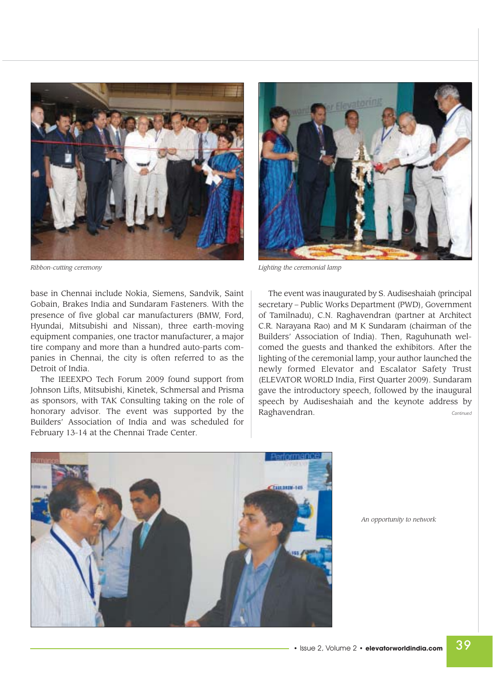

base in Chennai include Nokia, Siemens, Sandvik, Saint Gobain, Brakes India and Sundaram Fasteners. With the presence of five global car manufacturers (BMW, Ford, Hyundai, Mitsubishi and Nissan), three earth-moving equipment companies, one tractor manufacturer, a major tire company and more than a hundred auto-parts companies in Chennai, the city is often referred to as the Detroit of India.

The IEEEXPO Tech Forum 2009 found support from Johnson Lifts, Mitsubishi, Kinetek, Schmersal and Prisma as sponsors, with TAK Consulting taking on the role of honorary advisor. The event was supported by the Builders' Association of India and was scheduled for February 13-14 at the Chennai Trade Center.



*Ribbon-cutting ceremony Lighting the ceremonial lamp* 

The event was inaugurated by S. Audiseshaiah (principal secretary – Public Works Department (PWD), Government of Tamilnadu), C.N. Raghavendran (partner at Architect C.R. Narayana Rao) and M K Sundaram (chairman of the Builders' Association of India). Then, Raguhunath welcomed the guests and thanked the exhibitors. After the lighting of the ceremonial lamp, your author launched the newly formed Elevator and Escalator Safety Trust (ELEVATOR WORLD India, First Quarter 2009). Sundaram gave the introductory speech, followed by the inaugural speech by Audiseshaiah and the keynote address by Raghavendran. *Continued*



*An opportunity to network*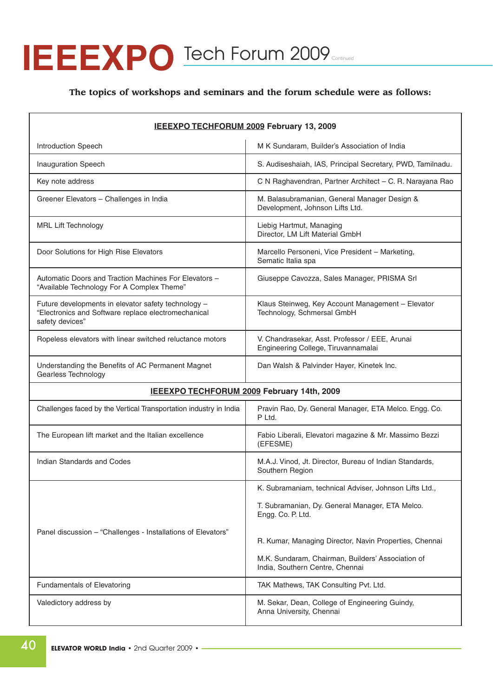# **IEEEXPO** Tech Forum 2009 Continued

### **The topics of workshops and seminars and the forum schedule were as follows:**

| IEEEXPO TECHFORUM 2009 February 13, 2009                                                                                      |                                                                                       |
|-------------------------------------------------------------------------------------------------------------------------------|---------------------------------------------------------------------------------------|
| <b>Introduction Speech</b>                                                                                                    | M K Sundaram, Builder's Association of India                                          |
| <b>Inauguration Speech</b>                                                                                                    | S. Audiseshaiah, IAS, Principal Secretary, PWD, Tamilnadu.                            |
| Key note address                                                                                                              | C N Raghavendran, Partner Architect - C. R. Narayana Rao                              |
| Greener Elevators - Challenges in India                                                                                       | M. Balasubramanian, General Manager Design &<br>Development, Johnson Lifts Ltd.       |
| <b>MRL Lift Technology</b>                                                                                                    | Liebig Hartmut, Managing<br>Director, LM Lift Material GmbH                           |
| Door Solutions for High Rise Elevators                                                                                        | Marcello Personeni, Vice President - Marketing,<br>Sematic Italia spa                 |
| Automatic Doors and Traction Machines For Elevators -<br>"Available Technology For A Complex Theme"                           | Giuseppe Cavozza, Sales Manager, PRISMA Srl                                           |
| Future developments in elevator safety technology -<br>"Electronics and Software replace electromechanical<br>safety devices" | Klaus Steinweg, Key Account Management - Elevator<br>Technology, Schmersal GmbH       |
| Ropeless elevators with linear switched reluctance motors                                                                     | V. Chandrasekar, Asst. Professor / EEE, Arunai<br>Engineering College, Tiruvannamalai |
| Understanding the Benefits of AC Permanent Magnet<br>Gearless Technology                                                      | Dan Walsh & Palvinder Hayer, Kinetek Inc.                                             |
| IEEEXPO TECHFORUM 2009 February 14th, 2009                                                                                    |                                                                                       |
| Challenges faced by the Vertical Transportation industry in India                                                             | Pravin Rao, Dy. General Manager, ETA Melco. Engg. Co.<br>P Ltd.                       |
| The European lift market and the Italian excellence                                                                           | Fabio Liberali, Elevatori magazine & Mr. Massimo Bezzi<br>(EFESME)                    |
| Indian Standards and Codes                                                                                                    | M.A.J. Vinod, Jt. Director, Bureau of Indian Standards,<br>Southern Region            |
|                                                                                                                               | K. Subramaniam, technical Adviser, Johnson Lifts Ltd.,                                |
|                                                                                                                               | T. Subramanian, Dy. General Manager, ETA Melco.<br>Engg. Co. P. Ltd.                  |
| Panel discussion - "Challenges - Installations of Elevators"                                                                  | R. Kumar, Managing Director, Navin Properties, Chennai                                |
|                                                                                                                               | M.K. Sundaram, Chairman, Builders' Association of<br>India, Southern Centre, Chennai  |
| Fundamentals of Elevatoring                                                                                                   | TAK Mathews, TAK Consulting Pvt. Ltd.                                                 |
| Valedictory address by                                                                                                        | M. Sekar, Dean, College of Engineering Guindy,<br>Anna University, Chennai            |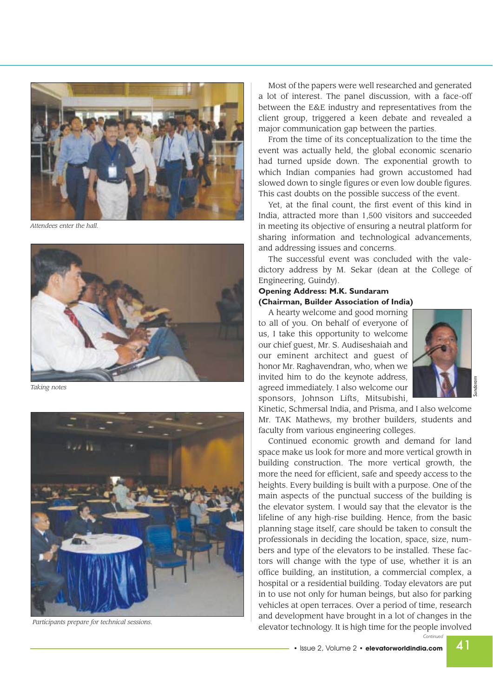

*Attendees enter the hall.*



*Taking notes* 



Most of the papers were well researched and generated a lot of interest. The panel discussion, with a face-off between the E&E industry and representatives from the client group, triggered a keen debate and revealed a major communication gap between the parties.

From the time of its conceptualization to the time the event was actually held, the global economic scenario had turned upside down. The exponential growth to which Indian companies had grown accustomed had slowed down to single figures or even low double figures. This cast doubts on the possible success of the event.

Yet, at the final count, the first event of this kind in India, attracted more than 1,500 visitors and succeeded in meeting its objective of ensuring a neutral platform for sharing information and technological advancements, and addressing issues and concerns.

The successful event was concluded with the valedictory address by M. Sekar (dean at the College of Engineering, Guindy).

#### **Opening Address: M.K. Sundaram (Chairman, Builder Association of India)**

A hearty welcome and good morning to all of you. On behalf of everyone of us, I take this opportunity to welcome our chief guest, Mr. S. Audiseshaiah and our eminent architect and guest of honor Mr. Raghavendran, who, when we invited him to do the keynote address, agreed immediately. I also welcome our sponsors, Johnson Lifts, Mitsubishi,



*Sundaram*

Kinetic, Schmersal India, and Prisma, and I also welcome Mr. TAK Mathews, my brother builders, students and faculty from various engineering colleges.

Continued economic growth and demand for land space make us look for more and more vertical growth in building construction. The more vertical growth, the more the need for efficient, safe and speedy access to the heights. Every building is built with a purpose. One of the main aspects of the punctual success of the building is the elevator system. I would say that the elevator is the lifeline of any high-rise building. Hence, from the basic planning stage itself, care should be taken to consult the professionals in deciding the location, space, size, numbers and type of the elevators to be installed. These factors will change with the type of use, whether it is an office building, an institution, a commercial complex, a hospital or a residential building. Today elevators are put in to use not only for human beings, but also for parking vehicles at open terraces. Over a period of time, research and development have brought in a lot of changes in the Participants prepare for technical sessions.<br> **Participants prepare for technology.** It is high time for the people involved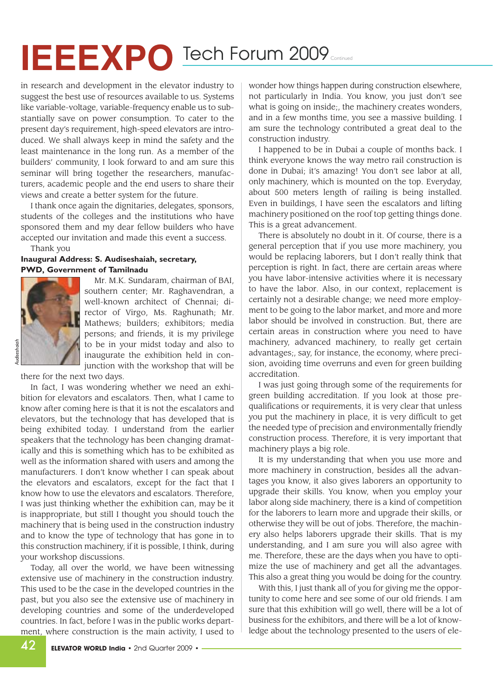## **IEEEXPO** Tech Forum 2009 Continued

in research and development in the elevator industry to suggest the best use of resources available to us. Systems like variable-voltage, variable-frequency enable us to substantially save on power consumption. To cater to the present day's requirement, high-speed elevators are introduced. We shall always keep in mind the safety and the least maintenance in the long run. As a member of the builders' community, I look forward to and am sure this seminar will bring together the researchers, manufacturers, academic people and the end users to share their views and create a better system for the future.

I thank once again the dignitaries, delegates, sponsors, students of the colleges and the institutions who have sponsored them and my dear fellow builders who have accepted our invitation and made this event a success. Thank you

### **Inaugural Address: S. Audiseshaiah, secretary, PWD, Government of Tamilnadu**



Mr. M.K. Sundaram, chairman of BAI, southern center; Mr. Raghavendran, a well-known architect of Chennai; director of Virgo, Ms. Raghunath; Mr. Mathews; builders; exhibitors; media persons; and friends, it is my privilege to be in your midst today and also to inaugurate the exhibition held in conjunction with the workshop that will be

there for the next two days.

In fact, I was wondering whether we need an exhibition for elevators and escalators. Then, what I came to know after coming here is that it is not the escalators and elevators, but the technology that has developed that is being exhibited today. I understand from the earlier speakers that the technology has been changing dramatically and this is something which has to be exhibited as well as the information shared with users and among the manufacturers. I don't know whether I can speak about the elevators and escalators, except for the fact that I know how to use the elevators and escalators. Therefore, I was just thinking whether the exhibition can, may be it is inappropriate, but still I thought you should touch the machinery that is being used in the construction industry and to know the type of technology that has gone in to this construction machinery, if it is possible, I think, during your workshop discussions.

Today, all over the world, we have been witnessing extensive use of machinery in the construction industry. This used to be the case in the developed countries in the past, but you also see the extensive use of machinery in developing countries and some of the underdeveloped countries. In fact, before I was in the public works department, where construction is the main activity, I used to

wonder how things happen during construction elsewhere, not particularly in India. You know, you just don't see what is going on inside;, the machinery creates wonders, and in a few months time, you see a massive building. I am sure the technology contributed a great deal to the construction industry.

I happened to be in Dubai a couple of months back. I think everyone knows the way metro rail construction is done in Dubai; it's amazing! You don't see labor at all, only machinery, which is mounted on the top. Everyday, about 500 meters length of railing is being installed. Even in buildings, I have seen the escalators and lifting machinery positioned on the roof top getting things done. This is a great advancement.

There is absolutely no doubt in it. Of course, there is a general perception that if you use more machinery, you would be replacing laborers, but I don't really think that perception is right. In fact, there are certain areas where you have labor-intensive activities where it is necessary to have the labor. Also, in our context, replacement is certainly not a desirable change; we need more employment to be going to the labor market, and more and more labor should be involved in construction. But, there are certain areas in construction where you need to have machinery, advanced machinery, to really get certain advantages;, say, for instance, the economy, where precision, avoiding time overruns and even for green building accreditation.

I was just going through some of the requirements for green building accreditation. If you look at those prequalifications or requirements, it is very clear that unless you put the machinery in place, it is very difficult to get the needed type of precision and environmentally friendly construction process. Therefore, it is very important that machinery plays a big role.

It is my understanding that when you use more and more machinery in construction, besides all the advantages you know, it also gives laborers an opportunity to upgrade their skills. You know, when you employ your labor along side machinery, there is a kind of competition for the laborers to learn more and upgrade their skills, or otherwise they will be out of jobs. Therefore, the machinery also helps laborers upgrade their skills. That is my understanding, and I am sure you will also agree with me. Therefore, these are the days when you have to optimize the use of machinery and get all the advantages. This also a great thing you would be doing for the country.

With this, I just thank all of you for giving me the opportunity to come here and see some of our old friends. I am sure that this exhibition will go well, there will be a lot of business for the exhibitors, and there will be a lot of knowledge about the technology presented to the users of ele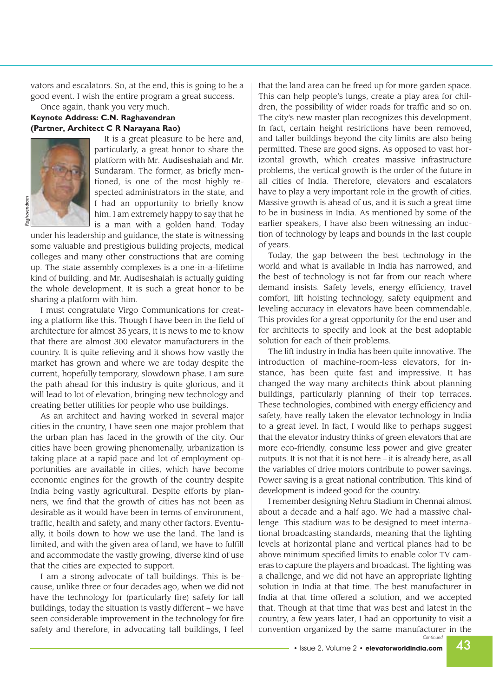vators and escalators. So, at the end, this is going to be a good event. I wish the entire program a great success.

### Once again, thank you very much. **Keynote Address: C.N. Raghavendran (Partner, Architect C R Narayana Rao)**



It is a great pleasure to be here and, particularly, a great honor to share the platform with Mr. Audiseshaiah and Mr. Sundaram. The former, as briefly mentioned, is one of the most highly respected administrators in the state, and I had an opportunity to briefly know him. I am extremely happy to say that he is a man with a golden hand. Today

under his leadership and guidance, the state is witnessing some valuable and prestigious building projects, medical colleges and many other constructions that are coming up. The state assembly complexes is a one-in-a-lifetime kind of building, and Mr. Audiseshaiah is actually guiding the whole development. It is such a great honor to be sharing a platform with him.

I must congratulate Virgo Communications for creating a platform like this. Though I have been in the field of architecture for almost 35 years, it is news to me to know that there are almost 300 elevator manufacturers in the country. It is quite relieving and it shows how vastly the market has grown and where we are today despite the current, hopefully temporary, slowdown phase. I am sure the path ahead for this industry is quite glorious, and it will lead to lot of elevation, bringing new technology and creating better utilities for people who use buildings.

As an architect and having worked in several major cities in the country, I have seen one major problem that the urban plan has faced in the growth of the city. Our cities have been growing phenomenally, urbanization is taking place at a rapid pace and lot of employment opportunities are available in cities, which have become economic engines for the growth of the country despite India being vastly agricultural. Despite efforts by planners, we find that the growth of cities has not been as desirable as it would have been in terms of environment, traffic, health and safety, and many other factors. Eventually, it boils down to how we use the land. The land is limited, and with the given area of land, we have to fulfill and accommodate the vastly growing, diverse kind of use that the cities are expected to support.

I am a strong advocate of tall buildings. This is because, unlike three or four decades ago, when we did not have the technology for (particularly fire) safety for tall buildings, today the situation is vastly different – we have seen considerable improvement in the technology for fire safety and therefore, in advocating tall buildings, I feel

that the land area can be freed up for more garden space. This can help people's lungs, create a play area for children, the possibility of wider roads for traffic and so on. The city's new master plan recognizes this development. In fact, certain height restrictions have been removed, and taller buildings beyond the city limits are also being permitted. These are good signs. As opposed to vast horizontal growth, which creates massive infrastructure problems, the vertical growth is the order of the future in all cities of India. Therefore, elevators and escalators have to play a very important role in the growth of cities. Massive growth is ahead of us, and it is such a great time to be in business in India. As mentioned by some of the earlier speakers, I have also been witnessing an induction of technology by leaps and bounds in the last couple of years.

Today, the gap between the best technology in the world and what is available in India has narrowed, and the best of technology is not far from our reach where demand insists. Safety levels, energy efficiency, travel comfort, lift hoisting technology, safety equipment and leveling accuracy in elevators have been commendable. This provides for a great opportunity for the end user and for architects to specify and look at the best adoptable solution for each of their problems.

The lift industry in India has been quite innovative. The introduction of machine-room-less elevators, for instance, has been quite fast and impressive. It has changed the way many architects think about planning buildings, particularly planning of their top terraces. These technologies, combined with energy efficiency and safety, have really taken the elevator technology in India to a great level. In fact, I would like to perhaps suggest that the elevator industry thinks of green elevators that are more eco-friendly, consume less power and give greater outputs. It is not that it is not here – it is already here, as all the variables of drive motors contribute to power savings. Power saving is a great national contribution. This kind of development is indeed good for the country.

I remember designing Nehru Stadium in Chennai almost about a decade and a half ago. We had a massive challenge. This stadium was to be designed to meet international broadcasting standards, meaning that the lighting levels at horizontal plane and vertical planes had to be above minimum specified limits to enable color TV cameras to capture the players and broadcast. The lighting was a challenge, and we did not have an appropriate lighting solution in India at that time. The best manufacturer in India at that time offered a solution, and we accepted that. Though at that time that was best and latest in the country, a few years later, I had an opportunity to visit a convention organized by the same manufacturer in the *Continued*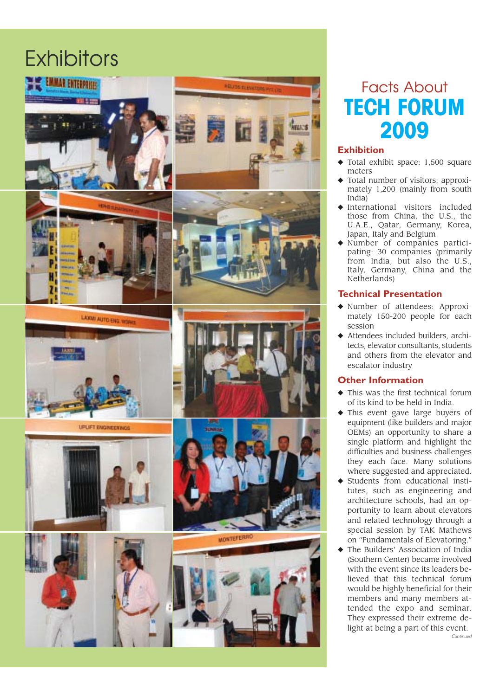### **Exhibitors**





UPLIFT ENGINEERINGS





### Facts About TECH FORUM 2009

### **Exhibition**

- ◆ Total exhibit space: 1,500 square meters
- Total number of visitors: approximately 1,200 (mainly from south India)
- ◆ International visitors included those from China, the U.S., the U.A.E., Qatar, Germany, Korea, Japan, Italy and Belgium
- ◆ Number of companies participating: 30 companies (primarily from India, but also the U.S., Italy, Germany, China and the Netherlands)

### **Technical Presentation**

- ◆ Number of attendees: Approximately 150-200 people for each session
- ◆ Attendees included builders, architects, elevator consultants, students and others from the elevator and escalator industry

### **Other Information**

- This was the first technical forum of its kind to be held in India.
- ◆ This event gave large buyers of equipment (like builders and major OEMs) an opportunity to share a single platform and highlight the difficulties and business challenges they each face. Many solutions where suggested and appreciated.
- ◆ Students from educational institutes, such as engineering and architecture schools, had an opportunity to learn about elevators and related technology through a special session by TAK Mathews on "Fundamentals of Elevatoring."
- ◆ The Builders' Association of India (Southern Center) became involved with the event since its leaders believed that this technical forum would be highly beneficial for their members and many members attended the expo and seminar. They expressed their extreme delight at being a part of this event. *Continued*